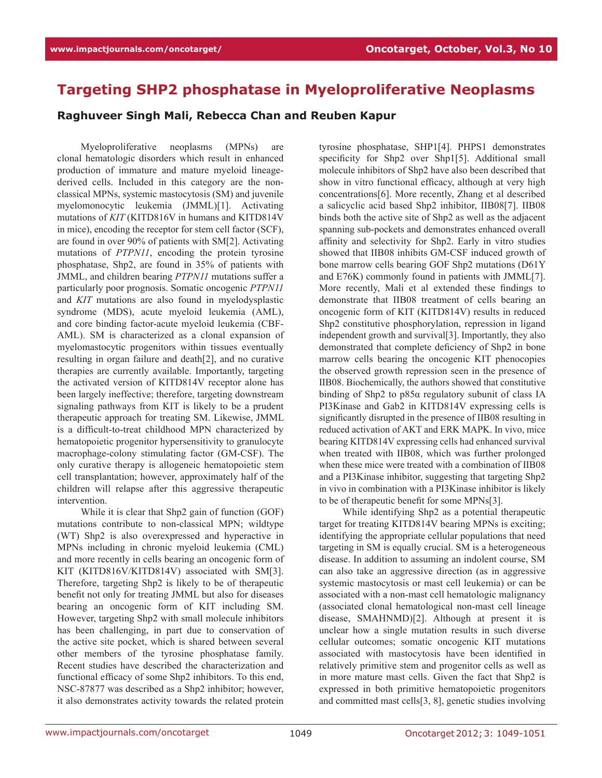## **Targeting SHP2 phosphatase in Myeloproliferative Neoplasms**

**Raghuveer Singh Mali, Rebecca Chan and Reuben Kapur**

Myeloproliferative neoplasms (MPNs) are clonal hematologic disorders which result in enhanced production of immature and mature myeloid lineagederived cells. Included in this category are the nonclassical MPNs, systemic mastocytosis (SM) and juvenile myelomonocytic leukemia (JMML)[1]. Activating mutations of *KIT* (KITD816V in humans and KITD814V in mice), encoding the receptor for stem cell factor (SCF), are found in over 90% of patients with SM[2]. Activating mutations of *PTPN11*, encoding the protein tyrosine phosphatase, Shp2, are found in 35% of patients with JMML, and children bearing *PTPN11* mutations suffer a particularly poor prognosis. Somatic oncogenic *PTPN11*  and *KIT* mutations are also found in myelodysplastic syndrome (MDS), acute myeloid leukemia (AML), and core binding factor-acute myeloid leukemia (CBF-AML). SM is characterized as a clonal expansion of myelomastocytic progenitors within tissues eventually resulting in organ failure and death[2], and no curative therapies are currently available. Importantly, targeting the activated version of KITD814V receptor alone has been largely ineffective; therefore, targeting downstream signaling pathways from KIT is likely to be a prudent therapeutic approach for treating SM. Likewise, JMML is a difficult-to-treat childhood MPN characterized by hematopoietic progenitor hypersensitivity to granulocyte macrophage-colony stimulating factor (GM-CSF). The only curative therapy is allogeneic hematopoietic stem cell transplantation; however, approximately half of the children will relapse after this aggressive therapeutic intervention.

While it is clear that Shp2 gain of function (GOF) mutations contribute to non-classical MPN; wildtype (WT) Shp2 is also overexpressed and hyperactive in MPNs including in chronic myeloid leukemia (CML) and more recently in cells bearing an oncogenic form of KIT (KITD816V/KITD814V) associated with SM[3]. Therefore, targeting Shp2 is likely to be of therapeutic benefit not only for treating JMML but also for diseases bearing an oncogenic form of KIT including SM. However, targeting Shp2 with small molecule inhibitors has been challenging, in part due to conservation of the active site pocket, which is shared between several other members of the tyrosine phosphatase family. Recent studies have described the characterization and functional efficacy of some Shp2 inhibitors. To this end, NSC-87877 was described as a Shp2 inhibitor; however, it also demonstrates activity towards the related protein

tyrosine phosphatase, SHP1[4]. PHPS1 demonstrates specificity for Shp2 over Shp1[5]. Additional small molecule inhibitors of Shp2 have also been described that show in vitro functional efficacy, although at very high concentrations[6]. More recently, Zhang et al described a salicyclic acid based Shp2 inhibitor, IIB08[7]. IIB08 binds both the active site of Shp2 as well as the adjacent spanning sub-pockets and demonstrates enhanced overall affinity and selectivity for Shp2. Early in vitro studies showed that IIB08 inhibits GM-CSF induced growth of bone marrow cells bearing GOF Shp2 mutations (D61Y and E76K) commonly found in patients with JMML[7]. More recently, Mali et al extended these findings to demonstrate that IIB08 treatment of cells bearing an oncogenic form of KIT (KITD814V) results in reduced Shp2 constitutive phosphorylation, repression in ligand independent growth and survival[3]. Importantly, they also demonstrated that complete deficiency of Shp2 in bone marrow cells bearing the oncogenic KIT phenocopies the observed growth repression seen in the presence of IIB08. Biochemically, the authors showed that constitutive binding of Shp2 to p85α regulatory subunit of class IA PI3Kinase and Gab2 in KITD814V expressing cells is significantly disrupted in the presence of IIB08 resulting in reduced activation of AKT and ERK MAPK. In vivo, mice bearing KITD814V expressing cells had enhanced survival when treated with IIB08, which was further prolonged when these mice were treated with a combination of IIB08 and a PI3Kinase inhibitor, suggesting that targeting Shp2 in vivo in combination with a PI3Kinase inhibitor is likely to be of therapeutic benefit for some MPNs[3].

While identifying Shp2 as a potential therapeutic target for treating KITD814V bearing MPNs is exciting; identifying the appropriate cellular populations that need targeting in SM is equally crucial. SM is a heterogeneous disease. In addition to assuming an indolent course, SM can also take an aggressive direction (as in aggressive systemic mastocytosis or mast cell leukemia) or can be associated with a non-mast cell hematologic malignancy (associated clonal hematological non-mast cell lineage disease, SMAHNMD)[2]. Although at present it is unclear how a single mutation results in such diverse cellular outcomes; somatic oncogenic KIT mutations associated with mastocytosis have been identified in relatively primitive stem and progenitor cells as well as in more mature mast cells. Given the fact that Shp2 is expressed in both primitive hematopoietic progenitors and committed mast cells[3, 8], genetic studies involving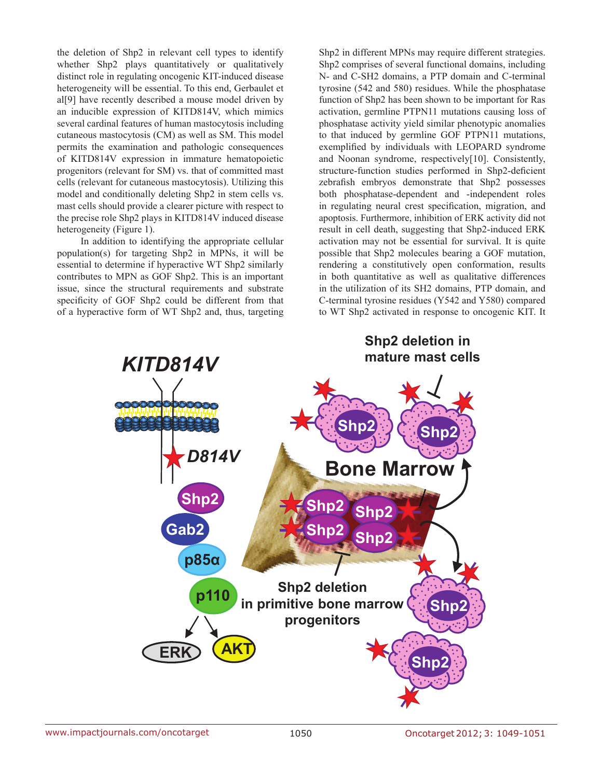the deletion of Shp2 in relevant cell types to identify whether Shp2 plays quantitatively or qualitatively distinct role in regulating oncogenic KIT-induced disease heterogeneity will be essential. To this end, Gerbaulet et al[9] have recently described a mouse model driven by an inducible expression of KITD814V, which mimics several cardinal features of human mastocytosis including cutaneous mastocytosis (CM) as well as SM. This model permits the examination and pathologic consequences of KITD814V expression in immature hematopoietic progenitors (relevant for SM) vs. that of committed mast cells (relevant for cutaneous mastocytosis). Utilizing this model and conditionally deleting Shp2 in stem cells vs. mast cells should provide a clearer picture with respect to the precise role Shp2 plays in KITD814V induced disease heterogeneity (Figure 1).

In addition to identifying the appropriate cellular population(s) for targeting Shp2 in MPNs, it will be essential to determine if hyperactive WT Shp2 similarly contributes to MPN as GOF Shp2. This is an important issue, since the structural requirements and substrate specificity of GOF Shp2 could be different from that of a hyperactive form of WT Shp2 and, thus, targeting Shp2 in different MPNs may require different strategies. Shp2 comprises of several functional domains, including N- and C-SH2 domains, a PTP domain and C-terminal tyrosine (542 and 580) residues. While the phosphatase function of Shp2 has been shown to be important for Ras activation, germline PTPN11 mutations causing loss of phosphatase activity yield similar phenotypic anomalies to that induced by germline GOF PTPN11 mutations, exemplified by individuals with LEOPARD syndrome and Noonan syndrome, respectively[10]. Consistently, structure-function studies performed in Shp2-deficient zebrafish embryos demonstrate that Shp2 possesses both phosphatase-dependent and -independent roles in regulating neural crest specification, migration, and apoptosis. Furthermore, inhibition of ERK activity did not result in cell death, suggesting that Shp2-induced ERK activation may not be essential for survival. It is quite possible that Shp2 molecules bearing a GOF mutation, rendering a constitutively open conformation, results in both quantitative as well as qualitative differences in the utilization of its SH2 domains, PTP domain, and C-terminal tyrosine residues (Y542 and Y580) compared to WT Shp2 activated in response to oncogenic KIT. It